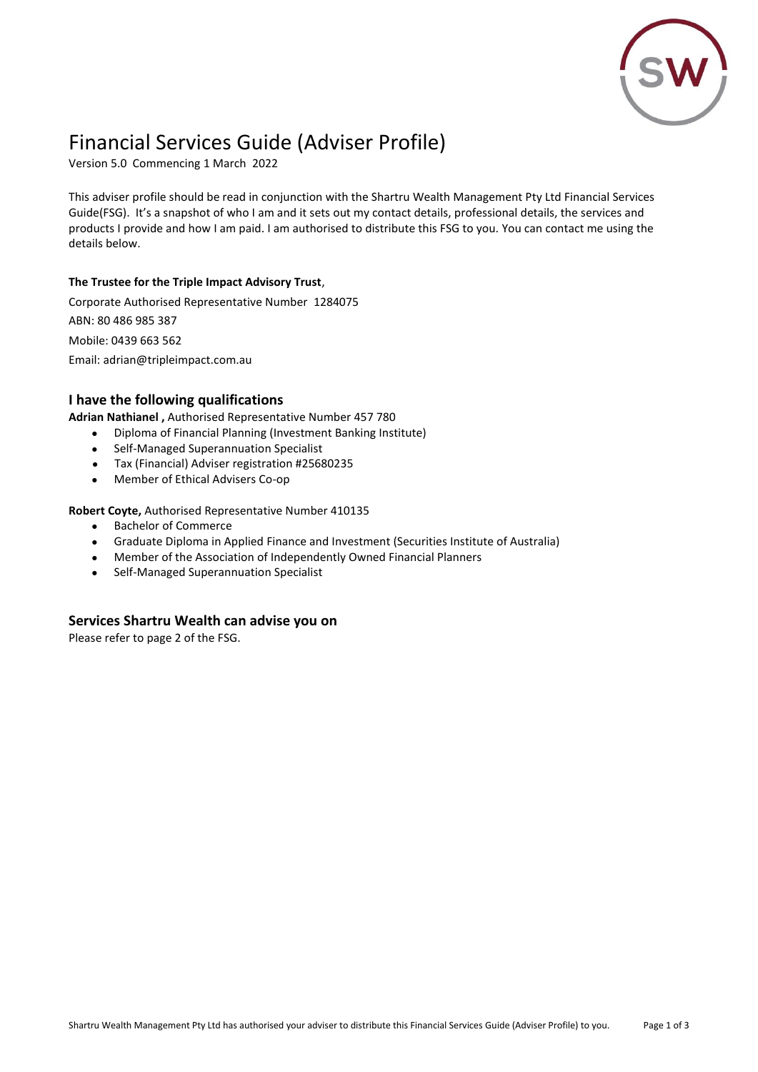

# Financial Services Guide (Adviser Profile)

Version 5.0 Commencing 1 March 2022

This adviser profile should be read in conjunction with the Shartru Wealth Management Pty Ltd Financial Services Guide(FSG). It's a snapshot of who I am and it sets out my contact details, professional details, the services and products I provide and how I am paid. I am authorised to distribute this FSG to you. You can contact me using the details below.

#### **The Trustee for the Triple Impact Advisory Trust**,

Corporate Authorised Representative Number 1284075 ABN: 80 486 985 387 Mobile: 0439 663 562 Email: adrian@tripleimpact.com.au

#### **I have the following qualifications**

**Adrian Nathianel ,** Authorised Representative Number 457 780

- Diploma of Financial Planning (Investment Banking Institute)
- Self-Managed Superannuation Specialist
- Tax (Financial) Adviser registration #25680235
- Member of Ethical Advisers Co-op

**Robert Coyte,** Authorised Representative Number 410135

- Bachelor of Commerce
- Graduate Diploma in Applied Finance and Investment (Securities Institute of Australia)
- Member of the Association of Independently Owned Financial Planners
- Self-Managed Superannuation Specialist

#### **Services Shartru Wealth can advise you on**

Please refer to page 2 of the FSG.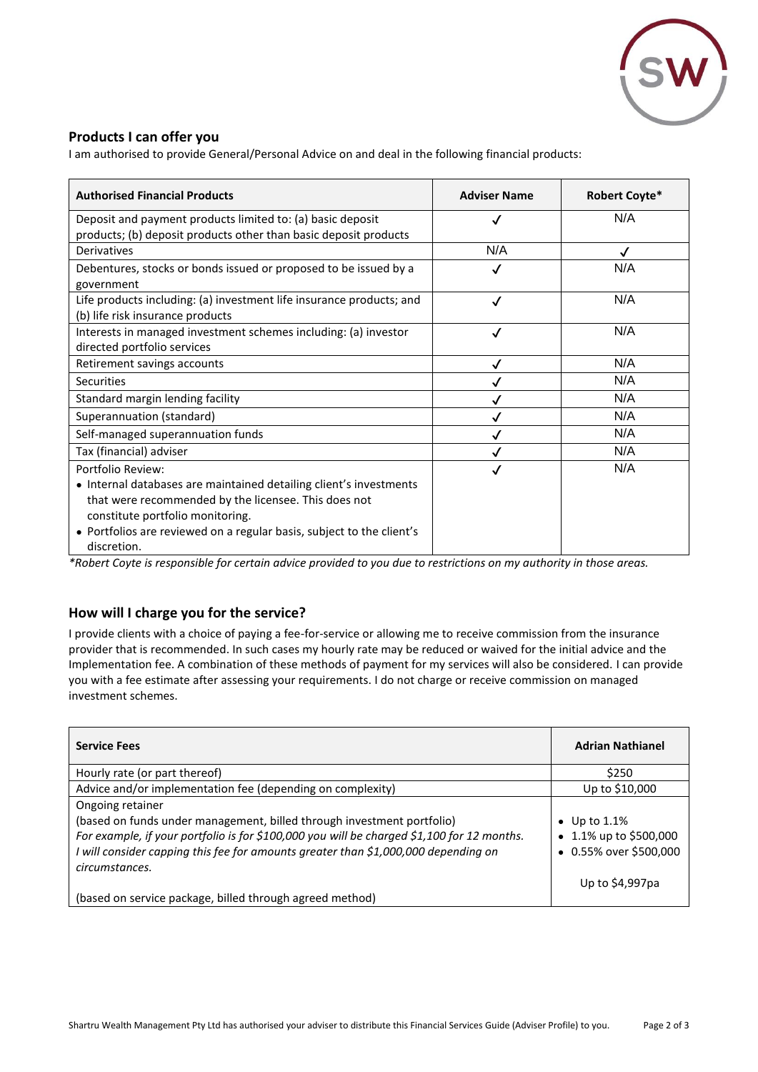

## **Products I can offer you**

I am authorised to provide General/Personal Advice on and deal in the following financial products:

| <b>Authorised Financial Products</b>                                                                                                                                                                                                                                        | <b>Adviser Name</b> | Robert Coyte* |
|-----------------------------------------------------------------------------------------------------------------------------------------------------------------------------------------------------------------------------------------------------------------------------|---------------------|---------------|
| Deposit and payment products limited to: (a) basic deposit                                                                                                                                                                                                                  | √                   | N/A           |
| products; (b) deposit products other than basic deposit products                                                                                                                                                                                                            |                     |               |
| Derivatives                                                                                                                                                                                                                                                                 | N/A                 | $\checkmark$  |
| Debentures, stocks or bonds issued or proposed to be issued by a<br>government                                                                                                                                                                                              | √                   | N/A           |
| Life products including: (a) investment life insurance products; and<br>(b) life risk insurance products                                                                                                                                                                    | √                   | N/A           |
| Interests in managed investment schemes including: (a) investor<br>directed portfolio services                                                                                                                                                                              | √                   | N/A           |
| Retirement savings accounts                                                                                                                                                                                                                                                 | ✓                   | N/A           |
| <b>Securities</b>                                                                                                                                                                                                                                                           |                     | N/A           |
| Standard margin lending facility                                                                                                                                                                                                                                            | ✓                   | N/A           |
| Superannuation (standard)                                                                                                                                                                                                                                                   |                     | N/A           |
| Self-managed superannuation funds                                                                                                                                                                                                                                           | √                   | N/A           |
| Tax (financial) adviser                                                                                                                                                                                                                                                     |                     | N/A           |
| Portfolio Review:<br>• Internal databases are maintained detailing client's investments<br>that were recommended by the licensee. This does not<br>constitute portfolio monitoring.<br>• Portfolios are reviewed on a regular basis, subject to the client's<br>discretion. | √                   | N/A           |

*\*Robert Coyte is responsible for certain advice provided to you due to restrictions on my authority in those areas.*

## **How will I charge you for the service?**

I provide clients with a choice of paying a fee-for-service or allowing me to receive commission from the insurance provider that is recommended. In such cases my hourly rate may be reduced or waived for the initial advice and the Implementation fee. A combination of these methods of payment for my services will also be considered. I can provide you with a fee estimate after assessing your requirements. I do not charge or receive commission on managed investment schemes.

| <b>Service Fees</b>                                                                                                                                                                                                                                                                              | <b>Adrian Nathianel</b>                                                                |
|--------------------------------------------------------------------------------------------------------------------------------------------------------------------------------------------------------------------------------------------------------------------------------------------------|----------------------------------------------------------------------------------------|
| Hourly rate (or part thereof)                                                                                                                                                                                                                                                                    | \$250                                                                                  |
| Advice and/or implementation fee (depending on complexity)                                                                                                                                                                                                                                       | Up to \$10,000                                                                         |
| Ongoing retainer<br>(based on funds under management, billed through investment portfolio)<br>For example, if your portfolio is for \$100,000 you will be charged \$1,100 for 12 months.<br>I will consider capping this fee for amounts greater than \$1,000,000 depending on<br>circumstances. | • Up to $1.1\%$<br>• 1.1% up to \$500,000<br>• 0.55% over \$500,000<br>Up to \$4,997pa |
| (based on service package, billed through agreed method)                                                                                                                                                                                                                                         |                                                                                        |